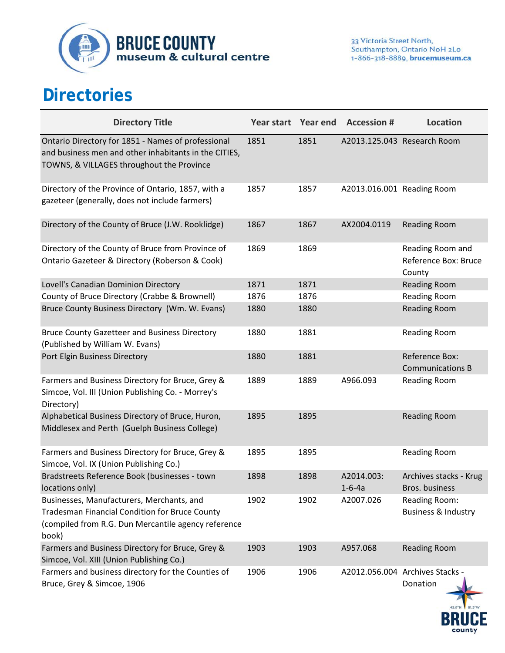

## **Directories**

| <b>Directory Title</b>                                                                                                                                             | Year start Year end |      | <b>Accession #</b>         | <b>Location</b>                                        |
|--------------------------------------------------------------------------------------------------------------------------------------------------------------------|---------------------|------|----------------------------|--------------------------------------------------------|
| Ontario Directory for 1851 - Names of professional<br>and business men and other inhabitants in the CITIES,<br>TOWNS, & VILLAGES throughout the Province           | 1851                | 1851 |                            | A2013.125.043 Research Room                            |
| Directory of the Province of Ontario, 1857, with a<br>gazeteer (generally, does not include farmers)                                                               | 1857                | 1857 | A2013.016.001 Reading Room |                                                        |
| Directory of the County of Bruce (J.W. Rooklidge)                                                                                                                  | 1867                | 1867 | AX2004.0119                | <b>Reading Room</b>                                    |
| Directory of the County of Bruce from Province of<br>Ontario Gazeteer & Directory (Roberson & Cook)                                                                | 1869                | 1869 |                            | Reading Room and<br>Reference Box: Bruce<br>County     |
| Lovell's Canadian Dominion Directory                                                                                                                               | 1871                | 1871 |                            | <b>Reading Room</b>                                    |
| County of Bruce Directory (Crabbe & Brownell)                                                                                                                      | 1876                | 1876 |                            | <b>Reading Room</b>                                    |
| Bruce County Business Directory (Wm. W. Evans)                                                                                                                     | 1880                | 1880 |                            | <b>Reading Room</b>                                    |
| <b>Bruce County Gazetteer and Business Directory</b><br>(Published by William W. Evans)                                                                            | 1880                | 1881 |                            | <b>Reading Room</b>                                    |
| Port Elgin Business Directory                                                                                                                                      | 1880                | 1881 |                            | Reference Box:<br><b>Communications B</b>              |
| Farmers and Business Directory for Bruce, Grey &<br>Simcoe, Vol. III (Union Publishing Co. - Morrey's<br>Directory)                                                | 1889                | 1889 | A966.093                   | <b>Reading Room</b>                                    |
| Alphabetical Business Directory of Bruce, Huron,<br>Middlesex and Perth (Guelph Business College)                                                                  | 1895                | 1895 |                            | <b>Reading Room</b>                                    |
| Farmers and Business Directory for Bruce, Grey &<br>Simcoe, Vol. IX (Union Publishing Co.)                                                                         | 1895                | 1895 |                            | <b>Reading Room</b>                                    |
| Bradstreets Reference Book (businesses - town<br>locations only)                                                                                                   | 1898                | 1898 | A2014.003:<br>$1 - 6 - 4a$ | Archives stacks - Krug<br>Bros. business               |
| Businesses, Manufacturers, Merchants, and<br><b>Tradesman Financial Condition for Bruce County</b><br>(compiled from R.G. Dun Mercantile agency reference<br>book) | 1902                | 1902 | A2007.026                  | <b>Reading Room:</b><br><b>Business &amp; Industry</b> |
| Farmers and Business Directory for Bruce, Grey &<br>Simcoe, Vol. XIII (Union Publishing Co.)                                                                       | 1903                | 1903 | A957.068                   | <b>Reading Room</b>                                    |
| Farmers and business directory for the Counties of<br>Bruce, Grey & Simcoe, 1906                                                                                   | 1906                | 1906 |                            | A2012.056.004 Archives Stacks -<br>Donation            |

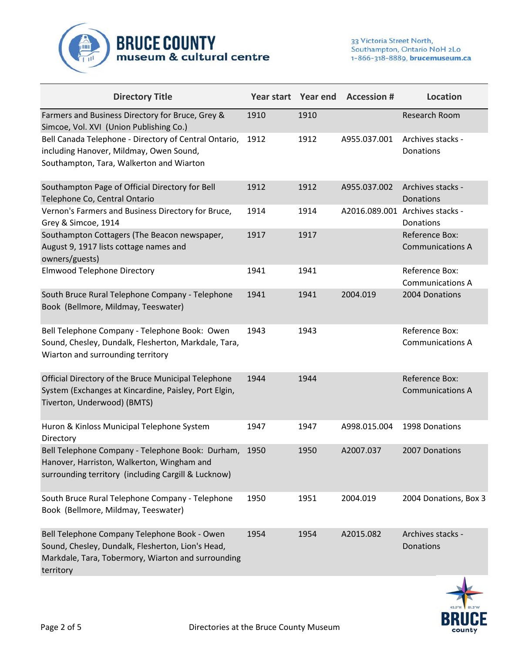

| <b>Directory Title</b>                                                                                                                                               | Year start Year end |      | <b>Accession #</b> | <b>Location</b>                              |
|----------------------------------------------------------------------------------------------------------------------------------------------------------------------|---------------------|------|--------------------|----------------------------------------------|
| Farmers and Business Directory for Bruce, Grey &<br>Simcoe, Vol. XVI (Union Publishing Co.)                                                                          | 1910                | 1910 |                    | Research Room                                |
| Bell Canada Telephone - Directory of Central Ontario,<br>including Hanover, Mildmay, Owen Sound,<br>Southampton, Tara, Walkerton and Wiarton                         | 1912                | 1912 | A955.037.001       | Archives stacks -<br>Donations               |
| Southampton Page of Official Directory for Bell<br>Telephone Co, Central Ontario                                                                                     | 1912                | 1912 | A955.037.002       | Archives stacks -<br>Donations               |
| Vernon's Farmers and Business Directory for Bruce,<br>Grey & Simcoe, 1914                                                                                            | 1914                | 1914 |                    | A2016.089.001 Archives stacks -<br>Donations |
| Southampton Cottagers (The Beacon newspaper,<br>August 9, 1917 lists cottage names and<br>owners/guests)                                                             | 1917                | 1917 |                    | Reference Box:<br><b>Communications A</b>    |
| <b>Elmwood Telephone Directory</b>                                                                                                                                   | 1941                | 1941 |                    | Reference Box:<br><b>Communications A</b>    |
| South Bruce Rural Telephone Company - Telephone<br>Book (Bellmore, Mildmay, Teeswater)                                                                               | 1941                | 1941 | 2004.019           | 2004 Donations                               |
| Bell Telephone Company - Telephone Book: Owen<br>Sound, Chesley, Dundalk, Flesherton, Markdale, Tara,<br>Wiarton and surrounding territory                           | 1943                | 1943 |                    | Reference Box:<br><b>Communications A</b>    |
| Official Directory of the Bruce Municipal Telephone<br>System (Exchanges at Kincardine, Paisley, Port Elgin,<br>Tiverton, Underwood) (BMTS)                          | 1944                | 1944 |                    | Reference Box:<br><b>Communications A</b>    |
| Huron & Kinloss Municipal Telephone System<br>Directory                                                                                                              | 1947                | 1947 | A998.015.004       | 1998 Donations                               |
| Bell Telephone Company - Telephone Book: Durham,<br>Hanover, Harriston, Walkerton, Wingham and<br>surrounding territory (including Cargill & Lucknow)                | 1950                | 1950 | A2007.037          | 2007 Donations                               |
| South Bruce Rural Telephone Company - Telephone<br>Book (Bellmore, Mildmay, Teeswater)                                                                               | 1950                | 1951 | 2004.019           | 2004 Donations, Box 3                        |
| Bell Telephone Company Telephone Book - Owen<br>Sound, Chesley, Dundalk, Flesherton, Lion's Head,<br>Markdale, Tara, Tobermory, Wiarton and surrounding<br>territory | 1954                | 1954 | A2015.082          | Archives stacks -<br>Donations               |

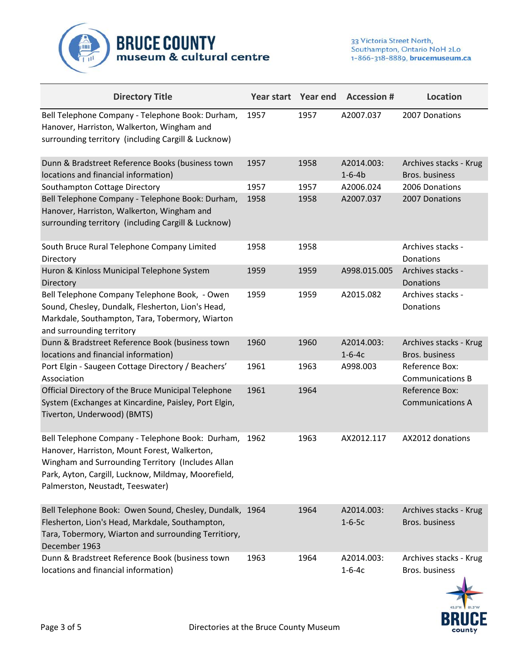

| <b>Directory Title</b>                                                                                                                                                                                                                           |      |      | Year start Year end Accession # | <b>Location</b>                           |
|--------------------------------------------------------------------------------------------------------------------------------------------------------------------------------------------------------------------------------------------------|------|------|---------------------------------|-------------------------------------------|
| Bell Telephone Company - Telephone Book: Durham,<br>Hanover, Harriston, Walkerton, Wingham and<br>surrounding territory (including Cargill & Lucknow)                                                                                            | 1957 | 1957 | A2007.037                       | 2007 Donations                            |
| Dunn & Bradstreet Reference Books (business town<br>locations and financial information)                                                                                                                                                         | 1957 | 1958 | A2014.003:<br>$1 - 6 - 4b$      | Archives stacks - Krug<br>Bros. business  |
| Southampton Cottage Directory                                                                                                                                                                                                                    | 1957 | 1957 | A2006.024                       | 2006 Donations                            |
| Bell Telephone Company - Telephone Book: Durham,<br>Hanover, Harriston, Walkerton, Wingham and<br>surrounding territory (including Cargill & Lucknow)                                                                                            | 1958 | 1958 | A2007.037                       | 2007 Donations                            |
| South Bruce Rural Telephone Company Limited<br>Directory                                                                                                                                                                                         | 1958 | 1958 |                                 | Archives stacks -<br>Donations            |
| Huron & Kinloss Municipal Telephone System<br>Directory                                                                                                                                                                                          | 1959 | 1959 | A998.015.005                    | Archives stacks -<br>Donations            |
| Bell Telephone Company Telephone Book, - Owen<br>Sound, Chesley, Dundalk, Flesherton, Lion's Head,<br>Markdale, Southampton, Tara, Tobermory, Wiarton<br>and surrounding territory                                                               | 1959 | 1959 | A2015.082                       | Archives stacks -<br>Donations            |
| Dunn & Bradstreet Reference Book (business town<br>locations and financial information)                                                                                                                                                          | 1960 | 1960 | A2014.003:<br>$1 - 6 - 4c$      | Archives stacks - Krug<br>Bros. business  |
| Port Elgin - Saugeen Cottage Directory / Beachers'<br>Association                                                                                                                                                                                | 1961 | 1963 | A998.003                        | Reference Box:<br><b>Communications B</b> |
| Official Directory of the Bruce Municipal Telephone<br>System (Exchanges at Kincardine, Paisley, Port Elgin,<br>Tiverton, Underwood) (BMTS)                                                                                                      | 1961 | 1964 |                                 | Reference Box:<br><b>Communications A</b> |
| Bell Telephone Company - Telephone Book: Durham,<br>Hanover, Harriston, Mount Forest, Walkerton,<br>Wingham and Surrounding Territory (Includes Allan<br>Park, Ayton, Cargill, Lucknow, Mildmay, Moorefield,<br>Palmerston, Neustadt, Teeswater) | 1962 | 1963 | AX2012.117                      | AX2012 donations                          |
| Bell Telephone Book: Owen Sound, Chesley, Dundalk, 1964<br>Flesherton, Lion's Head, Markdale, Southampton,<br>Tara, Tobermory, Wiarton and surrounding Territiory,<br>December 1963                                                              |      | 1964 | A2014.003:<br>$1 - 6 - 5c$      | Archives stacks - Krug<br>Bros. business  |
| Dunn & Bradstreet Reference Book (business town<br>locations and financial information)                                                                                                                                                          | 1963 | 1964 | A2014.003:<br>$1 - 6 - 4c$      | Archives stacks - Krug<br>Bros. business  |

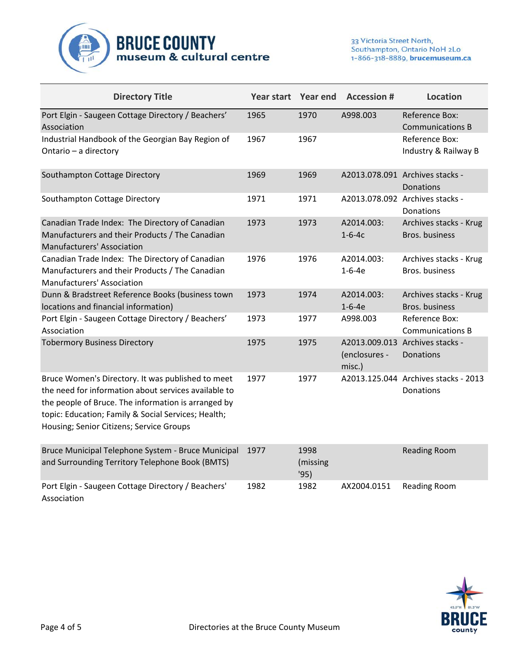

| <b>Directory Title</b>                                                                                                                                                                                                                                              |      |                          | Year start Year end Accession # | <b>Location</b>                                   |
|---------------------------------------------------------------------------------------------------------------------------------------------------------------------------------------------------------------------------------------------------------------------|------|--------------------------|---------------------------------|---------------------------------------------------|
| Port Elgin - Saugeen Cottage Directory / Beachers'<br>Association                                                                                                                                                                                                   | 1965 | 1970                     | A998.003                        | Reference Box:<br><b>Communications B</b>         |
| Industrial Handbook of the Georgian Bay Region of<br>Ontario - a directory                                                                                                                                                                                          | 1967 | 1967                     |                                 | Reference Box:<br>Industry & Railway B            |
| Southampton Cottage Directory                                                                                                                                                                                                                                       | 1969 | 1969                     |                                 | A2013.078.091 Archives stacks -<br>Donations      |
| Southampton Cottage Directory                                                                                                                                                                                                                                       | 1971 | 1971                     |                                 | A2013.078.092 Archives stacks -<br>Donations      |
| Canadian Trade Index: The Directory of Canadian<br>Manufacturers and their Products / The Canadian<br><b>Manufacturers' Association</b>                                                                                                                             | 1973 | 1973                     | A2014.003:<br>$1 - 6 - 4c$      | Archives stacks - Krug<br>Bros. business          |
| Canadian Trade Index: The Directory of Canadian<br>Manufacturers and their Products / The Canadian<br>Manufacturers' Association                                                                                                                                    | 1976 | 1976                     | A2014.003:<br>$1 - 6 - 4e$      | Archives stacks - Krug<br>Bros. business          |
| Dunn & Bradstreet Reference Books (business town<br>locations and financial information)                                                                                                                                                                            | 1973 | 1974                     | A2014.003:<br>$1 - 6 - 4e$      | Archives stacks - Krug<br>Bros. business          |
| Port Elgin - Saugeen Cottage Directory / Beachers'<br>Association                                                                                                                                                                                                   | 1973 | 1977                     | A998.003                        | Reference Box:<br><b>Communications B</b>         |
| <b>Tobermory Business Directory</b>                                                                                                                                                                                                                                 | 1975 | 1975                     | (enclosures -<br>misc.)         | A2013.009.013 Archives stacks -<br>Donations      |
| Bruce Women's Directory. It was published to meet<br>the need for information about services available to<br>the people of Bruce. The information is arranged by<br>topic: Education; Family & Social Services; Health;<br>Housing; Senior Citizens; Service Groups | 1977 | 1977                     |                                 | A2013.125.044 Archives stacks - 2013<br>Donations |
| Bruce Municipal Telephone System - Bruce Municipal<br>and Surrounding Territory Telephone Book (BMTS)                                                                                                                                                               | 1977 | 1998<br>(missing<br>'95) |                                 | <b>Reading Room</b>                               |
| Port Elgin - Saugeen Cottage Directory / Beachers'<br>Association                                                                                                                                                                                                   | 1982 | 1982                     | AX2004.0151                     | <b>Reading Room</b>                               |